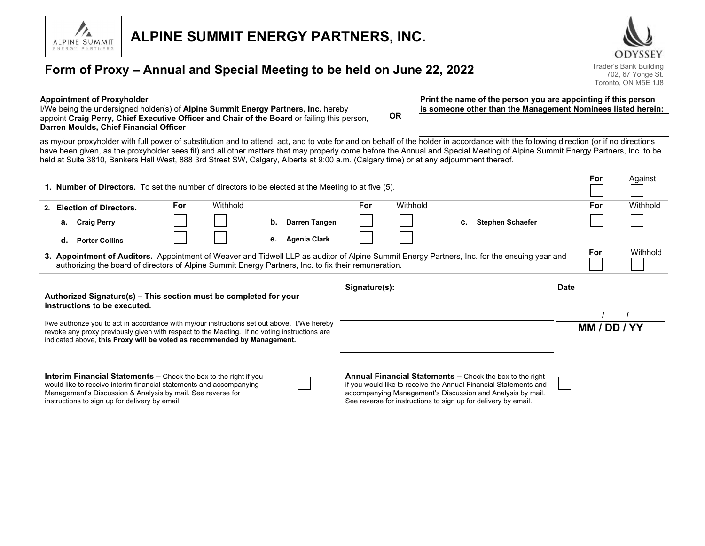

# **ALPINE SUMMIT ENERGY PARTNERS, INC.**

## **Form of Proxy – Annual and Special Meeting to be held on June 22, 2022** Trader's Bank Building

ODYSSEY 702, 67 Yonge St. Toronto, ON M5E 1J8

#### **Appointment of Proxyholder**

I/We being the undersigned holder(s) of **Alpine Summit Energy Partners, Inc.** hereby appoint **Craig Perry, Chief Executive Officer and Chair of the Board** or failing this person, **Darren Moulds, Chief Financial Officer**

**Print the name of the person you are appointing if this person is someone other than the Management Nominees listed herein:**

as my/our proxyholder with full power of substitution and to attend, act, and to vote for and on behalf of the holder in accordance with the following direction (or if no directions have been given, as the proxyholder sees fit) and all other matters that may properly come before the Annual and Special Meeting of Alpine Summit Energy Partners, Inc. to be held at Suite 3810, Bankers Hall West, 888 3rd Street SW, Calgary, Alberta at 9:00 a.m. (Calgary time) or at any adjournment thereof.

**OR**

| <b>1. Number of Directors.</b> To set the number of directors to be elected at the Meeting to at five (5).                                                                                                                                                                                                                                                                                                                                                                                                                      |    |                       |          |  |    |               |          |  |  |                         |     | For          | Against  |
|---------------------------------------------------------------------------------------------------------------------------------------------------------------------------------------------------------------------------------------------------------------------------------------------------------------------------------------------------------------------------------------------------------------------------------------------------------------------------------------------------------------------------------|----|-----------------------|----------|--|----|---------------|----------|--|--|-------------------------|-----|--------------|----------|
| 2. Election of Directors.                                                                                                                                                                                                                                                                                                                                                                                                                                                                                                       |    | <b>For</b>            | Withhold |  |    | <b>For</b>    | Withhold |  |  |                         | For | Withhold     |          |
|                                                                                                                                                                                                                                                                                                                                                                                                                                                                                                                                 |    | a. Craig Perry        |          |  | b. | Darren Tangen |          |  |  | <b>Stephen Schaefer</b> |     |              |          |
|                                                                                                                                                                                                                                                                                                                                                                                                                                                                                                                                 | d. | <b>Porter Collins</b> |          |  | е. | Agenia Clark  |          |  |  |                         |     |              |          |
| 3. Appointment of Auditors. Appointment of Weaver and Tidwell LLP as auditor of Alpine Summit Energy Partners, Inc. for the ensuing year and<br>authorizing the board of directors of Alpine Summit Energy Partners, Inc. to fix their remuneration.                                                                                                                                                                                                                                                                            |    |                       |          |  |    |               |          |  |  |                         |     | For          | Withhold |
| Signature(s):<br><b>Date</b><br>Authorized Signature(s) – This section must be completed for your<br>instructions to be executed.                                                                                                                                                                                                                                                                                                                                                                                               |    |                       |          |  |    |               |          |  |  |                         |     |              |          |
| I/we authorize you to act in accordance with my/our instructions set out above. I/We hereby<br>revoke any proxy previously given with respect to the Meeting. If no voting instructions are<br>indicated above, this Proxy will be voted as recommended by Management.                                                                                                                                                                                                                                                          |    |                       |          |  |    |               |          |  |  |                         |     | MM / DD / YY |          |
| Annual Financial Statements - Check the box to the right<br><b>Interim Financial Statements –</b> Check the box to the right if you<br>would like to receive interim financial statements and accompanying<br>if you would like to receive the Annual Financial Statements and<br>accompanying Management's Discussion and Analysis by mail.<br>Management's Discussion & Analysis by mail. See reverse for<br>instructions to sign up for delivery by email.<br>See reverse for instructions to sign up for delivery by email. |    |                       |          |  |    |               |          |  |  |                         |     |              |          |